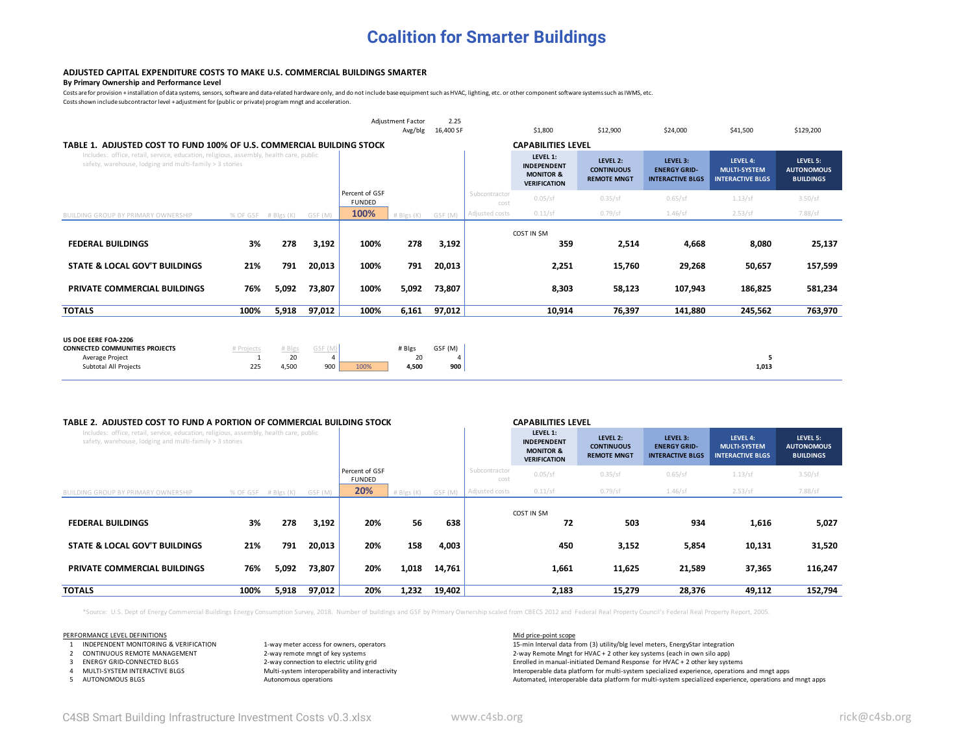## **Coalition for Smarter Buildings**

## **ADJUSTED CAPITAL EXPENDITURE COSTS TO MAKE U.S. COMMERCIAL BUILDINGS SMARTER**

## **By Primary Ownership and Performance Level**

Costs are for provision + installation of data systems, sensors, software and data-related hardware only, and do not include base equipment such as HVAC, lighting, etc. or other component software systems such as IWMS, etc

Costs shown include subcontractor level + adjustment for (public or private) program mngt and acceleration.

|                                                                                                                                                   |                   |                       |                           |                                 | <b>Adjustment Factor</b><br>Avg/blg | 2.25<br>16,400 SF   |                       | \$1,800                                                                       | \$12,900                                            | \$24,000                                                   | \$41,500                                                   | \$129,200                                         |
|---------------------------------------------------------------------------------------------------------------------------------------------------|-------------------|-----------------------|---------------------------|---------------------------------|-------------------------------------|---------------------|-----------------------|-------------------------------------------------------------------------------|-----------------------------------------------------|------------------------------------------------------------|------------------------------------------------------------|---------------------------------------------------|
| TABLE 1. ADJUSTED COST TO FUND 100% OF U.S. COMMERCIAL BUILDING STOCK                                                                             |                   |                       |                           |                                 |                                     |                     |                       | <b>CAPABILITIES LEVEL</b>                                                     |                                                     |                                                            |                                                            |                                                   |
| Includes: office, retail, service, education, religious, assembly, health care, public<br>safety, warehouse, lodging and multi-family > 3 stories |                   |                       |                           |                                 |                                     |                     |                       | LEVEL 1:<br><b>INDEPENDENT</b><br><b>MONITOR &amp;</b><br><b>VERIFICATION</b> | LEVEL 2:<br><b>CONTINUOUS</b><br><b>REMOTE MNGT</b> | LEVEL 3:<br><b>ENERGY GRID-</b><br><b>INTERACTIVE BLGS</b> | LEVEL 4:<br><b>MULTI-SYSTEM</b><br><b>INTERACTIVE BLGS</b> | LEVEL 5:<br><b>AUTONOMOUS</b><br><b>BUILDINGS</b> |
|                                                                                                                                                   |                   |                       |                           | Percent of GSF<br><b>FUNDED</b> |                                     |                     | Subcontractor<br>cost | 0.05/sf                                                                       | 0.35/sf                                             | 0.65/sf                                                    | 1.13/sf                                                    | 3.50/sf                                           |
| <b>BUILDING GROUP BY PRIMARY OWNERSHIP</b>                                                                                                        | % OF GSF          | # Blgs (K)            | GSF (M)                   | 100%                            | $#$ Blgs $(K)$                      | GSF (M)             | Adjusted costs        | 0.11/sf                                                                       | 0.79/sf                                             | 1.46/sf                                                    | 2.53/sf                                                    | 7.88/sf                                           |
| <b>FEDERAL BUILDINGS</b>                                                                                                                          | 3%                | 278                   | 3,192                     | 100%                            | 278                                 | 3,192               |                       | COST IN \$M<br>359                                                            | 2,514                                               | 4,668                                                      | 8,080                                                      | 25,137                                            |
| <b>STATE &amp; LOCAL GOV'T BUILDINGS</b>                                                                                                          | 21%               | 791                   | 20,013                    | 100%                            | 791                                 | 20,013              |                       | 2,251                                                                         | 15,760                                              | 29,268                                                     | 50,657                                                     | 157,599                                           |
| PRIVATE COMMERCIAL BUILDINGS                                                                                                                      | 76%               | 5,092                 | 73,807                    | 100%                            | 5,092                               | 73,807              |                       | 8,303                                                                         | 58,123                                              | 107,943                                                    | 186,825                                                    | 581,234                                           |
| <b>TOTALS</b>                                                                                                                                     | 100%              | 5,918                 | 97,012                    | 100%                            | 6,161                               | 97,012              |                       | 10,914                                                                        | 76,397                                              | 141,880                                                    | 245,562                                                    | 763,970                                           |
| US DOE EERE FOA-2206<br><b>CONNECTED COMMUNITIES PROJECTS</b><br>Average Project<br>Subtotal All Projects                                         | # Projects<br>225 | # Blgs<br>20<br>4,500 | GSF (M<br>$\Delta$<br>900 | 100%                            | # Blgs<br>20<br>4,500               | GSF (M)<br>4<br>900 |                       |                                                                               |                                                     |                                                            | 5<br>1,013                                                 |                                                   |

## **TABLE 2. ADJUSTED COST TO FUND A PORTION OF COMMERCIAL BUILDING STOCK CAPABILITIES LEVEL**

| TABLE 2. ADJUSTED COST TO FOND A PORTION OF CONTRIENCIAL BUILDING STOCK                                                                           |          |                |         |                                 |                |         |                       | LAPADILITIES LEVEL                                                            |                                                     |                                                            |                                                            |                                                   |
|---------------------------------------------------------------------------------------------------------------------------------------------------|----------|----------------|---------|---------------------------------|----------------|---------|-----------------------|-------------------------------------------------------------------------------|-----------------------------------------------------|------------------------------------------------------------|------------------------------------------------------------|---------------------------------------------------|
| Includes: office, retail, service, education, religious, assembly, health care, public<br>safety, warehouse, lodging and multi-family > 3 stories |          |                |         |                                 |                |         |                       | LEVEL 1:<br><b>INDEPENDENT</b><br><b>MONITOR &amp;</b><br><b>VERIFICATION</b> | LEVEL 2:<br><b>CONTINUOUS</b><br><b>REMOTE MNGT</b> | LEVEL 3:<br><b>ENERGY GRID-</b><br><b>INTERACTIVE BLGS</b> | LEVEL 4:<br><b>MULTI-SYSTEM</b><br><b>INTERACTIVE BLGS</b> | LEVEL 5:<br><b>AUTONOMOUS</b><br><b>BUILDINGS</b> |
|                                                                                                                                                   |          |                |         | Percent of GSF<br><b>FUNDED</b> |                |         | Subcontractor<br>cost | 0.05/sf                                                                       | 0.35/sf                                             | 0.65/sf                                                    | 1.13/sf                                                    | 3.50/sf                                           |
| <b>BUILDING GROUP BY PRIMARY OWNERSHIP</b>                                                                                                        | % OF GSF | $#$ Blgs $(K)$ | GSF (M) | 20%                             | $#$ Blgs $(K)$ | GSF (M) | Adjusted costs        | 0.11/sf                                                                       | $0.79$ /sf                                          | 1.46/sf                                                    | 2.53/sf                                                    | 7.88/sf                                           |
| <b>FEDERAL BUILDINGS</b>                                                                                                                          | 3%       | 278            | 3,192   | 20%                             | 56             | 638     |                       | COST IN SM<br>72                                                              | 503                                                 | 934                                                        | 1,616                                                      | 5,027                                             |
| STATE & LOCAL GOV'T BUILDINGS                                                                                                                     | 21%      | 791            | 20,013  | 20%                             | 158            | 4,003   |                       | 450                                                                           | 3,152                                               | 5,854                                                      | 10,131                                                     | 31,520                                            |
| <b>PRIVATE COMMERCIAL BUILDINGS</b>                                                                                                               | 76%      | 5,092          | 73,807  | 20%                             | 1,018          | 14,761  |                       | 1,661                                                                         | 11,625                                              | 21,589                                                     | 37,365                                                     | 116,247                                           |
| <b>TOTALS</b>                                                                                                                                     | 100%     | 5,918          | 97,012  | 20%                             | 1,232          | 19,402  |                       | 2,183                                                                         | 15,279                                              | 28,376                                                     | 49,112                                                     | 152,794                                           |

\*Source: U.S. Dept of Energy Commercial Buildings Energy Consumption Survey, 2018. Number of buildings and GSF by Primary Ownership scaled from CBECS 2012 and Federal Real Property Council's Federal Real Property Report, 2

- 
- 
- 
- 

PERFORMANCE LEVEL DEFINITIONS<br>1. INDEPENDENT MONITORING & VERIFICATION 1-way meter access for owners, operators and the state of the material data fr

1 INDEPENDENT MONITORING & VERIFICATION 1-way meter access for owners, operators 1-min Interval data from (3) utility/blg level meters, EnergyStar integration 15-min Interval data from (3) utility/blg level meters, EnergyS 2-way remote mngt of key systems<br>2-way connection to electric utility grid<br>2-way connection to electric utility grid 3 ENERGY GRID-CONNECTED BLGS 2-way connection to electric utility grid Enrolled in manual-initiated Demand Response for HVAC + 2 other key systems 4 MULTI-SYSTEM INTERACTIVE BLGS Multi-system interoperability and interactivity and interactivity Interoperable data platform for multi-system specialized experience, operations and mngt apps 5 AUTONOMOUS BLGS **Automated, interoperations** Autonomous operations and mngt apps and mngt apps and mngt apps and mngt apps and mngt apps and mngt apps and mngt apps and mngt apps and mngt apps and mngt apps and mngt apps